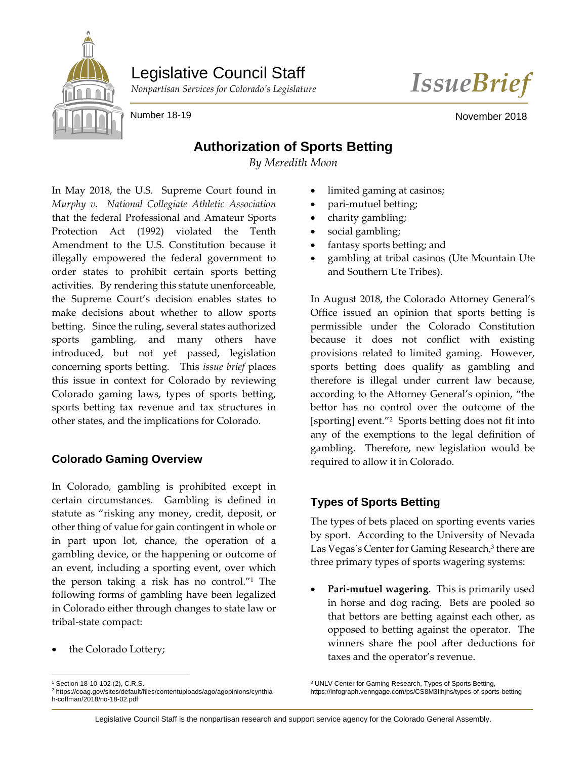# Legislative Council Staff





Number 18-19 November 2018

## **Authorization of Sports Betting**

*By Meredith Moon*

In May 2018, the U.S. Supreme Court found in *Murphy v. National Collegiate Athletic Association* that the federal Professional and Amateur Sports Protection Act (1992) violated the Tenth Amendment to the U.S. Constitution because it illegally empowered the federal government to order states to prohibit certain sports betting activities. By rendering this statute unenforceable, the Supreme Court's decision enables states to make decisions about whether to allow sports betting. Since the ruling, several states authorized sports gambling, and many others have introduced, but not yet passed, legislation concerning sports betting. This *issue brief* places this issue in context for Colorado by reviewing Colorado gaming laws, types of sports betting, sports betting tax revenue and tax structures in other states, and the implications for Colorado.

### **Colorado Gaming Overview**

In Colorado, gambling is prohibited except in certain circumstances. Gambling is defined in statute as "risking any money, credit, deposit, or other thing of value for gain contingent in whole or in part upon lot, chance, the operation of a gambling device, or the happening or outcome of an event, including a sporting event, over which the person taking a risk has no control."<sup>1</sup> The following forms of gambling have been legalized in Colorado either through changes to state law or tribal-state compact:

• the Colorado Lottery;

- limited gaming at casinos;
- pari-mutuel betting;
- charity gambling;
- social gambling;
- fantasy sports betting; and
- gambling at tribal casinos (Ute Mountain Ute and Southern Ute Tribes).

In August 2018, the Colorado Attorney General's Office issued an opinion that sports betting is permissible under the Colorado Constitution because it does not conflict with existing provisions related to limited gaming. However, sports betting does qualify as gambling and therefore is illegal under current law because, according to the Attorney General's opinion, "the bettor has no control over the outcome of the [sporting] event."<sup>2</sup> Sports betting does not fit into any of the exemptions to the legal definition of gambling. Therefore, new legislation would be required to allow it in Colorado.

### **Types of Sports Betting**

The types of bets placed on sporting events varies by sport. According to the University of Nevada Las Vegas's Center for Gaming Research,<sup>3</sup> there are three primary types of sports wagering systems:

• **Pari-mutuel wagering**. This is primarily used in horse and dog racing. Bets are pooled so that bettors are betting against each other, as opposed to betting against the operator. The winners share the pool after deductions for taxes and the operator's revenue.

<sup>1</sup> Section 18-10-102 (2), C.R.S. <sup>2</sup> https://coag.gov/sites/default/files/contentuploads/ago/agopinions/cynthiah-coffman/2018/no-18-02.pdf

<sup>3</sup> UNLV Center for Gaming Research, Types of Sports Betting, https://infograph.venngage.com/ps/CS8M3Ilhjhs/types-of-sports-betting